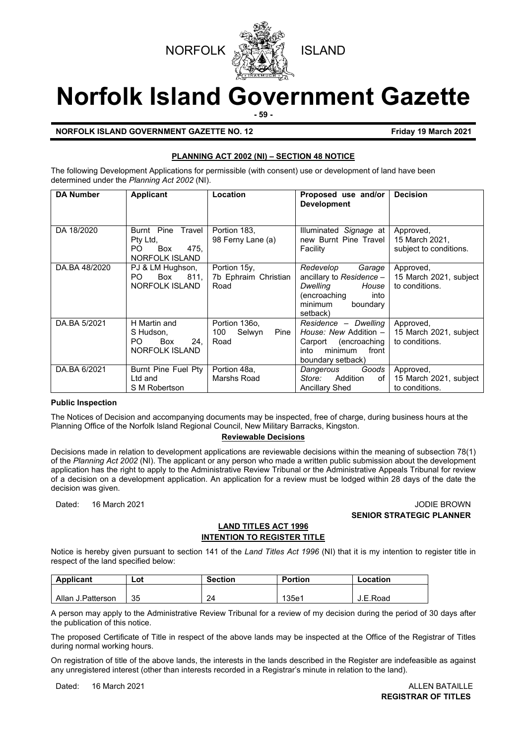



# **Norfolk Island Government Gazette**

**- 59 -**

**NORFOLK ISLAND GOVERNMENT GAZETTE NO. 12 Friday 19 March 2021** 

#### **PLANNING ACT 2002 (NI) – SECTION 48 NOTICE**

The following Development Applications for permissible (with consent) use or development of land have been determined under the *Planning Act 2002* (NI).

| <b>DA Number</b> | <b>Applicant</b>                                                               | Location                                       | Proposed use and/or<br><b>Development</b>                                                                                       | <b>Decision</b>                                       |
|------------------|--------------------------------------------------------------------------------|------------------------------------------------|---------------------------------------------------------------------------------------------------------------------------------|-------------------------------------------------------|
| DA 18/2020       | Burnt Pine Travel<br>Pty Ltd.<br>PO.<br>Box<br>475.<br><b>NORFOLK ISLAND</b>   | Portion 183,<br>98 Ferny Lane (a)              | Illuminated Signage at<br>new Burnt Pine Travel<br>Facility                                                                     | Approved,<br>15 March 2021,<br>subject to conditions. |
| DA.BA 48/2020    | PJ & LM Hughson,<br>811.<br>Box<br>PO.<br>NORFOLK ISLAND                       | Portion 15y,<br>7b Ephraim Christian<br>Road   | Redevelop<br>Garage<br>ancillary to Residence -<br>Dwelling<br>House<br>(encroaching<br>into<br>minimum<br>boundary<br>setback) | Approved,<br>15 March 2021, subject<br>to conditions. |
| DA.BA 5/2021     | H Martin and<br>S Hudson.<br>PO.<br><b>Box</b><br>24.<br><b>NORFOLK ISLAND</b> | Portion 1360,<br>Selwyn<br>100<br>Pine<br>Road | Residence - Dwelling<br>House: New Addition $-$<br>encroaching)<br>Carport<br>minimum<br>into<br>front<br>boundary setback)     | Approved,<br>15 March 2021, subject<br>to conditions. |
| DA.BA 6/2021     | Burnt Pine Fuel Pty<br>Ltd and<br>S M Robertson                                | Portion 48a,<br>Marshs Road                    | Goods<br>Dangerous<br>Addition<br>Store:<br>οf<br><b>Ancillary Shed</b>                                                         | Approved,<br>15 March 2021, subject<br>to conditions. |

#### **Public Inspection**

The Notices of Decision and accompanying documents may be inspected, free of charge, during business hours at the Planning Office of the Norfolk Island Regional Council, New Military Barracks, Kingston.

#### **Reviewable Decisions**

Decisions made in relation to development applications are reviewable decisions within the meaning of subsection 78(1) of the *Planning Act 2002* (NI). The applicant or any person who made a written public submission about the development application has the right to apply to the Administrative Review Tribunal or the Administrative Appeals Tribunal for review of a decision on a development application. An application for a review must be lodged within 28 days of the date the decision was given.

Dated: 16 March 2021 JODIE BROWN **SENIOR STRATEGIC PLANNER** 

#### **LAND TITLES ACT 1996 INTENTION TO REGISTER TITLE**

Notice is hereby given pursuant to section 141 of the *Land Titles Act 1996* (NI) that it is my intention to register title in respect of the land specified below:

| <b>Applicant</b>  | Lot | <b>Section</b> | <b>Portion</b> | Location |
|-------------------|-----|----------------|----------------|----------|
|                   |     |                |                |          |
| Allan J.Patterson | 35  | 24             | 135e1          | J.E.Road |

A person may apply to the Administrative Review Tribunal for a review of my decision during the period of 30 days after the publication of this notice.

The proposed Certificate of Title in respect of the above lands may be inspected at the Office of the Registrar of Titles during normal working hours.

On registration of title of the above lands, the interests in the lands described in the Register are indefeasible as against any unregistered interest (other than interests recorded in a Registrar's minute in relation to the land).

Dated: 16 March 2021 **ALLEN BATAILLE** 

**REGISTRAR OF TITLES**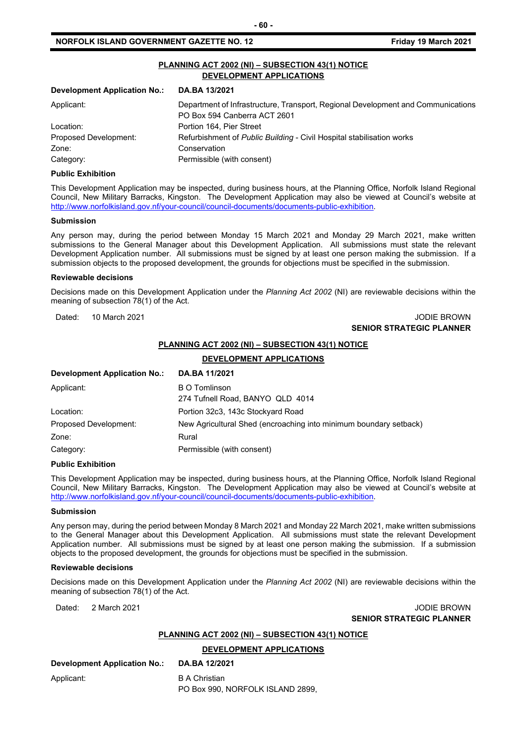| <b>Development Application No.:</b><br>DA.BA 13/2021 |                                                                                  |  |
|------------------------------------------------------|----------------------------------------------------------------------------------|--|
|                                                      |                                                                                  |  |
| Applicant:                                           | Department of Infrastructure, Transport, Regional Development and Communications |  |
|                                                      | PO Box 594 Canberra ACT 2601                                                     |  |
| Location:                                            | Portion 164. Pier Street                                                         |  |
| Proposed Development:                                | Refurbishment of Public Building - Civil Hospital stabilisation works            |  |
| Zone:                                                | Conservation                                                                     |  |
| Category:                                            | Permissible (with consent)                                                       |  |

#### **Public Exhibition**

This Development Application may be inspected, during business hours, at the Planning Office, Norfolk Island Regional Council, New Military Barracks, Kingston. The Development Application may also be viewed at Council's website at [http://www.norfolkisland.gov.nf/your-council/council-documents/documents-public-exhibition.](http://www.norfolkisland.gov.nf/your-council/council-documents/documents-public-exhibition) 

#### **Submission**

Any person may, during the period between Monday 15 March 2021 and Monday 29 March 2021, make written submissions to the General Manager about this Development Application. All submissions must state the relevant Development Application number. All submissions must be signed by at least one person making the submission. If a submission objects to the proposed development, the grounds for objections must be specified in the submission.

#### **Reviewable decisions**

Decisions made on this Development Application under the *Planning Act 2002* (NI) are reviewable decisions within the meaning of subsection 78(1) of the Act.

#### Dated: 10 March 2021 JODIE BROWN **SENIOR STRATEGIC PLANNER**

#### **PLANNING ACT 2002 (NI) – SUBSECTION 43(1) NOTICE**

#### **DEVELOPMENT APPLICATIONS**

| <b>Development Application No.:</b>     | DA.BA 11/2021                                                     |
|-----------------------------------------|-------------------------------------------------------------------|
| Applicant:                              | <b>B O Tomlinson</b><br>274 Tufnell Road, BANYO QLD 4014          |
| Location:                               | Portion 32c3, 143c Stockyard Road                                 |
| Proposed Development:                   | New Agricultural Shed (encroaching into minimum boundary setback) |
| Zone:                                   | Rural                                                             |
| Permissible (with consent)<br>Category: |                                                                   |

#### **Public Exhibition**

This Development Application may be inspected, during business hours, at the Planning Office, Norfolk Island Regional Council, New Military Barracks, Kingston. The Development Application may also be viewed at Council's website at [http://www.norfolkisland.gov.nf/your-council/council-documents/documents-public-exhibition.](http://www.norfolkisland.gov.nf/your-council/council-documents/documents-public-exhibition) 

#### **Submission**

Any person may, during the period between Monday 8 March 2021 and Monday 22 March 2021, make written submissions to the General Manager about this Development Application. All submissions must state the relevant Development Application number. All submissions must be signed by at least one person making the submission. If a submission objects to the proposed development, the grounds for objections must be specified in the submission.

#### **Reviewable decisions**

Decisions made on this Development Application under the *Planning Act 2002* (NI) are reviewable decisions within the meaning of subsection 78(1) of the Act.

#### Dated: 2 March 2021 2008 - 2009 12:00 12:00 12:00 12:00 12:00 12:00 12:00 12:00 12:00 12:00 12:00 12:00 12:00 1 **SENIOR STRATEGIC PLANNER**

#### **PLANNING ACT 2002 (NI) – SUBSECTION 43(1) NOTICE**

#### **DEVELOPMENT APPLICATIONS**

| Development Application No.: | DA.BA 12/2021 |
|------------------------------|---------------|
|                              |               |

### Applicant: B A Christian

PO Box 990, NORFOLK ISLAND 2899,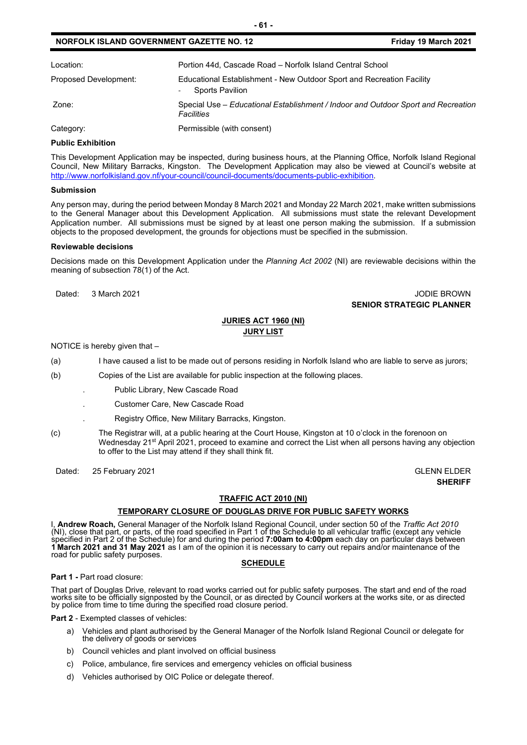| Location:             | Portion 44d, Cascade Road - Norfolk Island Central School                                                            |
|-----------------------|----------------------------------------------------------------------------------------------------------------------|
| Proposed Development: | Educational Establishment - New Outdoor Sport and Recreation Facility<br><b>Sports Pavilion</b><br>$\qquad \qquad -$ |
| Zone:                 | Special Use – Educational Establishment / Indoor and Outdoor Sport and Recreation<br><b>Facilities</b>               |
| Category:             | Permissible (with consent)                                                                                           |

#### **Public Exhibition**

This Development Application may be inspected, during business hours, at the Planning Office, Norfolk Island Regional Council, New Military Barracks, Kingston. The Development Application may also be viewed at Council's website at [http://www.norfolkisland.gov.nf/your-council/council-documents/documents-public-exhibition.](http://www.norfolkisland.gov.nf/your-council/council-documents/documents-public-exhibition)

#### **Submission**

Any person may, during the period between Monday 8 March 2021 and Monday 22 March 2021, make written submissions to the General Manager about this Development Application. All submissions must state the relevant Development Application number. All submissions must be signed by at least one person making the submission. If a submission objects to the proposed development, the grounds for objections must be specified in the submission.

#### **Reviewable decisions**

Decisions made on this Development Application under the *Planning Act 2002* (NI) are reviewable decisions within the meaning of subsection 78(1) of the Act.

#### Dated: 3 March 2021 **Dated: 3 March 2021 SENIOR STRATEGIC PLANNER**

#### **JURIES ACT 1960 (NI) JURY LIST**

NOTICE is hereby given that –

(a) I have caused a list to be made out of persons residing in Norfolk Island who are liable to serve as jurors;

- (b) Copies of the List are available for public inspection at the following places.
	- . Public Library, New Cascade Road
		- . Customer Care, New Cascade Road
		- . Registry Office, New Military Barracks, Kingston.
- (c) The Registrar will, at a public hearing at the Court House, Kingston at 10 o'clock in the forenoon on Wednesday 21<sup>st</sup> April 2021, proceed to examine and correct the List when all persons having any objection to offer to the List may attend if they shall think fit.

Dated: 25 February 2021 Contract Contract Contract Contract Contract Contract Contract Contract Contract Contract Contract Contract Contract Contract Contract Contract Contract Contract Contract Contract Contract Contract

**SHERIFF**

#### **TRAFFIC ACT 2010 (NI)**

#### **TEMPORARY CLOSURE OF DOUGLAS DRIVE FOR PUBLIC SAFETY WORKS**

I, **Andrew Roach,** General Manager of the Norfolk Island Regional Council, under section 50 of the *Traffic Act 2010* (NI), close that part, or parts, of the road specified in Part 1 of the Schedule to all vehicular traffic (except any vehicle<br>specified in Part 2 of the Schedule) for and during the period **7:00am to 4:00pm** each day on pa **1 March 2021 and 31 May 2021** as I am of the opinion it is necessary to carry out repairs and/or maintenance of the road for public safety purposes.

#### **SCHEDULE**

#### **Part 1 -** Part road closure:

That part of Douglas Drive, relevant to road works carried out for public safety purposes. The start and end of the road<br>works site to be officially signposted by the Council, or as directed by Council workers at the works by police from time to time during the specified road closure period.

**Part 2** - Exempted classes of vehicles:

- a) Vehicles and plant authorised by the General Manager of the Norfolk Island Regional Council or delegate for the delivery of goods or services
- b) Council vehicles and plant involved on official business
- c) Police, ambulance, fire services and emergency vehicles on official business
- d) Vehicles authorised by OIC Police or delegate thereof.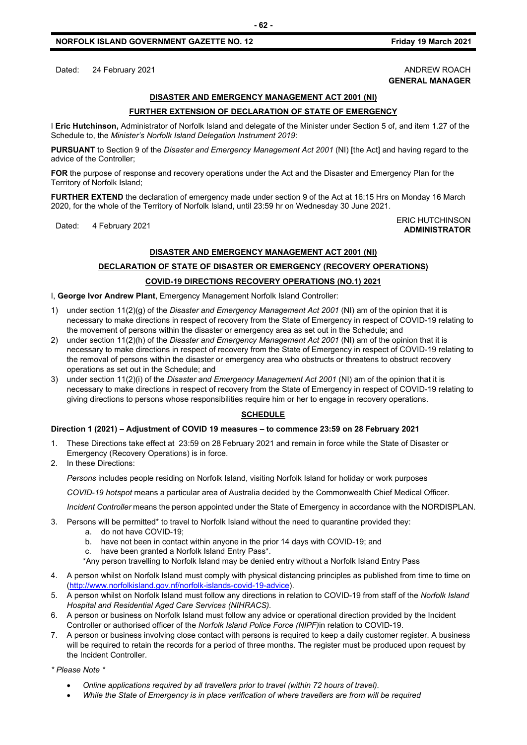Dated: 24 February 2021 **ANDREW ROACH** 

## **GENERAL MANAGER**

#### **DISASTER AND EMERGENCY MANAGEMENT ACT 2001 (NI)**

#### **FURTHER EXTENSION OF DECLARATION OF STATE OF EMERGENCY**

I **Eric Hutchinson,** Administrator of Norfolk Island and delegate of the Minister under Section 5 of, and item 1.27 of the Schedule to, the *Minister's Norfolk Island Delegation Instrument 2019*:

**PURSUANT** to Section 9 of the *Disaster and Emergency Management Act 2001* (NI) [the Act] and having regard to the advice of the Controller;

**FOR** the purpose of response and recovery operations under the Act and the Disaster and Emergency Plan for the Territory of Norfolk Island;

**FURTHER EXTEND** the declaration of emergency made under section 9 of the Act at 16:15 Hrs on Monday 16 March 2020, for the whole of the Territory of Norfolk Island, until 23:59 hr on Wednesday 30 June 2021.

#### Dated: 4 February 2021<br>Dated: 4 February 2021 **ADMINISTRATOR**

#### **DISASTER AND EMERGENCY MANAGEMENT ACT 2001 (NI)**

### **DECLARATION OF STATE OF DISASTER OR EMERGENCY (RECOVERY OPERATIONS) COVID-19 DIRECTIONS RECOVERY OPERATIONS (NO.1) 2021**

I, **George Ivor Andrew Plant**, Emergency Management Norfolk Island Controller:

- 1) under section 11(2)(g) of the *Disaster and Emergency Management Act 2001* (NI) am of the opinion that it is necessary to make directions in respect of recovery from the State of Emergency in respect of COVID-19 relating to the movement of persons within the disaster or emergency area as set out in the Schedule; and
- 2) under section 11(2)(h) of the *Disaster and Emergency Management Act 2001* (NI) am of the opinion that it is necessary to make directions in respect of recovery from the State of Emergency in respect of COVID-19 relating to the removal of persons within the disaster or emergency area who obstructs or threatens to obstruct recovery operations as set out in the Schedule; and
- 3) under section 11(2)(i) of the *Disaster and Emergency Management Act 2001* (NI) am of the opinion that it is necessary to make directions in respect of recovery from the State of Emergency in respect of COVID-19 relating to giving directions to persons whose responsibilities require him or her to engage in recovery operations.

#### **SCHEDULE**

#### **Direction 1 (2021) – Adjustment of COVID 19 measures – to commence 23:59 on 28 February 2021**

- 1. These Directions take effect at 23:59 on 28 February 2021 and remain in force while the State of Disaster or Emergency (Recovery Operations) is in force.
- 2. In these Directions:

*Persons* includes people residing on Norfolk Island, visiting Norfolk Island for holiday or work purposes

*COVID-19 hotspot* means a particular area of Australia decided by the Commonwealth Chief Medical Officer.

*Incident Controller* means the person appointed under the State of Emergency in accordance with the NORDISPLAN.

- 3. Persons will be permitted\* to travel to Norfolk Island without the need to quarantine provided they:
	- a. do not have COVID-19;
	- b. have not been in contact within anyone in the prior 14 days with COVID-19; and
	- c. have been granted a Norfolk Island Entry Pass\*.
	- \*Any person travelling to Norfolk Island may be denied entry without a Norfolk Island Entry Pass
- 4. A person whilst on Norfolk Island must comply with physical distancing principles as published from time to time on [\(http://www.norfolkisland.gov.nf/norfolk-islands-covid-19-advice\)](http://www.norfolkisland.gov.nf/norfolk-islands-covid-19-advice).
- 5. A person whilst on Norfolk Island must follow any directions in relation to COVID-19 from staff of the *Norfolk Island Hospital and Residential Aged Care Services (NIHRACS).*
- 6. A person or business on Norfolk Island must follow any advice or operational direction provided by the Incident Controller or authorised officer of the *Norfolk Island Police Force (NIPF)*in relation to COVID-19.
- 7. A person or business involving close contact with persons is required to keep a daily customer register. A business will be required to retain the records for a period of three months. The register must be produced upon request by the Incident Controller.

*\* Please Note \** 

- *Online applications required by all travellers prior to travel (within 72 hours of travel).*
- *While the State of Emergency is in place verification of where travellers are from will be required*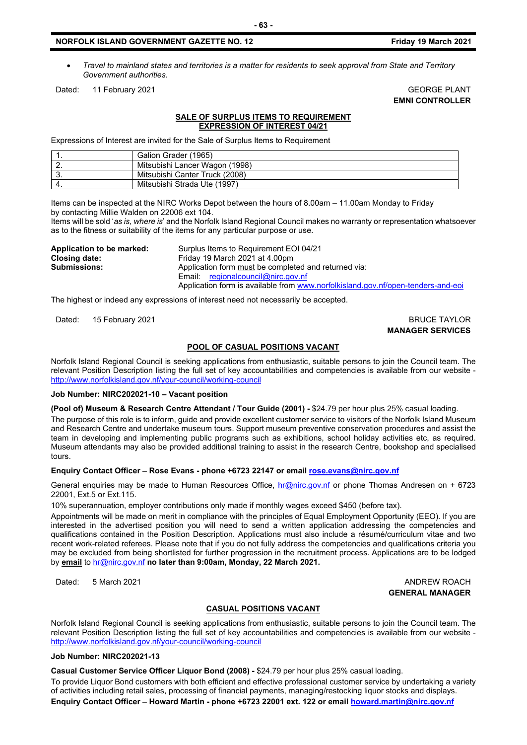• *Travel to mainland states and territories is a matter for residents to seek approval from State and Territory Government authorities.*

Dated: 11 February 2021 GEORGE PLANT

**EMNI CONTROLLER**

#### **SALE OF SURPLUS ITEMS TO REQUIREMENT EXPRESSION OF INTEREST 04/21**

Expressions of Interest are invited for the Sale of Surplus Items to Requirement

|    | Galion Grader (1965)           |
|----|--------------------------------|
| .  | Mitsubishi Lancer Wagon (1998) |
| J. | Mitsubishi Canter Truck (2008) |
|    | Mitsubishi Strada Ute (1997)   |

Items can be inspected at the NIRC Works Depot between the hours of 8.00am – 11.00am Monday to Friday by contacting Millie Walden on 22006 ext 104.

Items will be sold '*as is, where is*' and the Norfolk Island Regional Council makes no warranty or representation whatsoever as to the fitness or suitability of the items for any particular purpose or use.

**Application to be marked:** Surplus Items to Requirement EOI 04/21<br>Closing date: Friday 19 March 2021 at 4.00pm **Closing date:** Friday 19 March 2021 at 4.00pm<br>**Submissions:** Application form must be comple Application form **must** be completed and returned via: Email: [regionalcouncil@nirc.gov.nf](mailto:regionalcouncil@nirc.gov.nf) Application form is available from www.norfolkisland.gov.nf/open-tenders-and-eoi

The highest or indeed any expressions of interest need not necessarily be accepted.

Dated: 15 February 2021 **BRUCE TAYLOR** 

**MANAGER SERVICES**

#### **POOL OF CASUAL POSITIONS VACANT**

Norfolk Island Regional Council is seeking applications from enthusiastic, suitable persons to join the Council team. The relevant Position Description listing the full set of key accountabilities and competencies is available from our website <http://www.norfolkisland.gov.nf/your-council/working-council>

#### **Job Number: NIRC202021-10 – Vacant position**

**(Pool of) Museum & Research Centre Attendant / Tour Guide (2001) -** \$24.79 per hour plus 25% casual loading.

The purpose of this role is to inform, guide and provide excellent customer service to visitors of the Norfolk Island Museum and Research Centre and undertake museum tours. Support museum preventive conservation procedures and assist the team in developing and implementing public programs such as exhibitions, school holiday activities etc, as required. Museum attendants may also be provided additional training to assist in the research Centre, bookshop and specialised tours.

#### **Enquiry Contact Officer – Rose Evans - phone +6723 22147 or emai[l rose.evans@nirc.gov.nf](mailto:rose.evans@nirc.gov.nf)**

General enquiries may be made to Human Resources Office, [hr@nirc.gov.nf](mailto:hr@nirc.gov.nf) or phone Thomas Andresen on + 6723 22001, Ext.5 or Ext.115.

10% superannuation, employer contributions only made if monthly wages exceed \$450 (before tax).

Appointments will be made on merit in compliance with the principles of Equal Employment Opportunity (EEO). If you are interested in the advertised position you will need to send a written application addressing the competencies and qualifications contained in the Position Description. Applications must also include a résumé/curriculum vitae and two recent work-related referees. Please note that if you do not fully address the competencies and qualifications criteria you may be excluded from being shortlisted for further progression in the recruitment process. Applications are to be lodged by **email** to [hr@nirc.gov.nf](mailto:hr@nirc.gov.nf) **no later than 9:00am, Monday, 22 March 2021.** 

Dated: 5 March 2021 **ANDREW ROACH GENERAL MANAGER**

#### **CASUAL POSITIONS VACANT**

Norfolk Island Regional Council is seeking applications from enthusiastic, suitable persons to join the Council team. The relevant Position Description listing the full set of key accountabilities and competencies is available from our website <http://www.norfolkisland.gov.nf/your-council/working-council>

#### **Job Number: NIRC202021-13**

**Casual Customer Service Officer Liquor Bond (2008) -** \$24.79 per hour plus 25% casual loading.

To provide Liquor Bond customers with both efficient and effective professional customer service by undertaking a variety of activities including retail sales, processing of financial payments, managing/restocking liquor stocks and displays. **Enquiry Contact Officer – Howard Martin - phone +6723 22001 ext. 122 or emai[l howard.martin@nirc.gov.nf](mailto:howard.martin@nirc.gov.nf)**

#### **- 63 -**